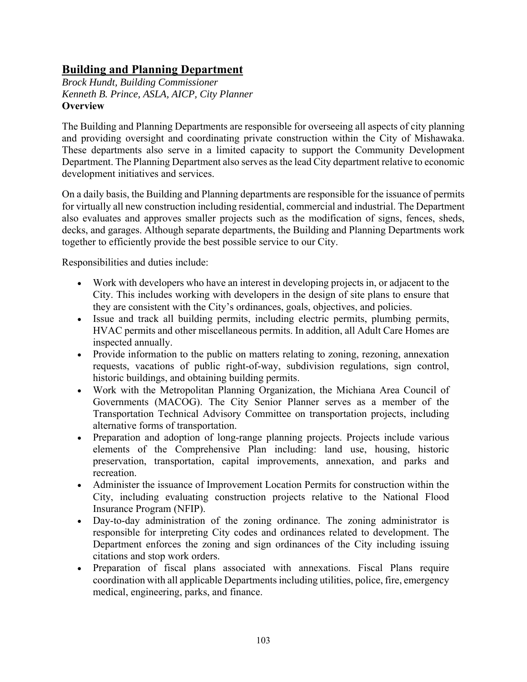# **Building and Planning Department**

*Brock Hundt, Building Commissioner Kenneth B. Prince, ASLA, AICP, City Planner*  **Overview** 

The Building and Planning Departments are responsible for overseeing all aspects of city planning and providing oversight and coordinating private construction within the City of Mishawaka. These departments also serve in a limited capacity to support the Community Development Department. The Planning Department also serves as the lead City department relative to economic development initiatives and services.

On a daily basis, the Building and Planning departments are responsible for the issuance of permits for virtually all new construction including residential, commercial and industrial. The Department also evaluates and approves smaller projects such as the modification of signs, fences, sheds, decks, and garages. Although separate departments, the Building and Planning Departments work together to efficiently provide the best possible service to our City.

Responsibilities and duties include:

- Work with developers who have an interest in developing projects in, or adjacent to the City. This includes working with developers in the design of site plans to ensure that they are consistent with the City's ordinances, goals, objectives, and policies.
- Issue and track all building permits, including electric permits, plumbing permits, HVAC permits and other miscellaneous permits. In addition, all Adult Care Homes are inspected annually.
- Provide information to the public on matters relating to zoning, rezoning, annexation requests, vacations of public right-of-way, subdivision regulations, sign control, historic buildings, and obtaining building permits.
- Work with the Metropolitan Planning Organization, the Michiana Area Council of Governments (MACOG). The City Senior Planner serves as a member of the Transportation Technical Advisory Committee on transportation projects, including alternative forms of transportation.
- Preparation and adoption of long-range planning projects. Projects include various elements of the Comprehensive Plan including: land use, housing, historic preservation, transportation, capital improvements, annexation, and parks and recreation.
- Administer the issuance of Improvement Location Permits for construction within the City, including evaluating construction projects relative to the National Flood Insurance Program (NFIP).
- Day-to-day administration of the zoning ordinance. The zoning administrator is responsible for interpreting City codes and ordinances related to development. The Department enforces the zoning and sign ordinances of the City including issuing citations and stop work orders.
- Preparation of fiscal plans associated with annexations. Fiscal Plans require coordination with all applicable Departments including utilities, police, fire, emergency medical, engineering, parks, and finance.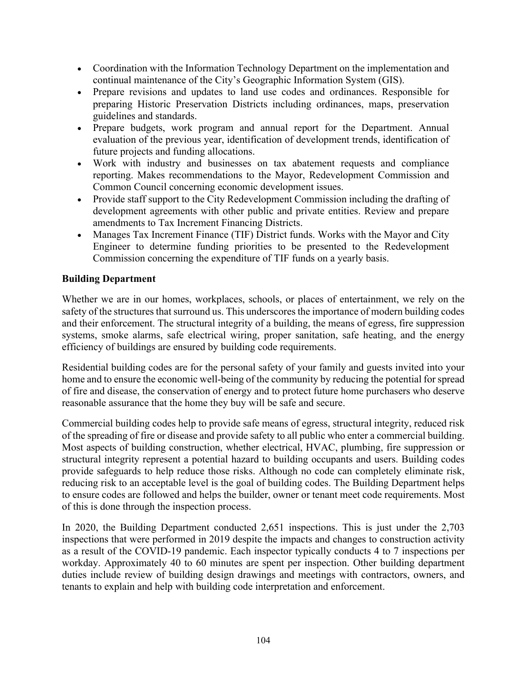- Coordination with the Information Technology Department on the implementation and continual maintenance of the City's Geographic Information System (GIS).
- Prepare revisions and updates to land use codes and ordinances. Responsible for preparing Historic Preservation Districts including ordinances, maps, preservation guidelines and standards.
- Prepare budgets, work program and annual report for the Department. Annual evaluation of the previous year, identification of development trends, identification of future projects and funding allocations.
- Work with industry and businesses on tax abatement requests and compliance reporting. Makes recommendations to the Mayor, Redevelopment Commission and Common Council concerning economic development issues.
- Provide staff support to the City Redevelopment Commission including the drafting of development agreements with other public and private entities. Review and prepare amendments to Tax Increment Financing Districts.
- Manages Tax Increment Finance (TIF) District funds. Works with the Mayor and City Engineer to determine funding priorities to be presented to the Redevelopment Commission concerning the expenditure of TIF funds on a yearly basis.

## **Building Department**

Whether we are in our homes, workplaces, schools, or places of entertainment, we rely on the safety of the structures that surround us. This underscores the importance of modern building codes and their enforcement. The structural integrity of a building, the means of egress, fire suppression systems, smoke alarms, safe electrical wiring, proper sanitation, safe heating, and the energy efficiency of buildings are ensured by building code requirements.

Residential building codes are for the personal safety of your family and guests invited into your home and to ensure the economic well-being of the community by reducing the potential for spread of fire and disease, the conservation of energy and to protect future home purchasers who deserve reasonable assurance that the home they buy will be safe and secure.

Commercial building codes help to provide safe means of egress, structural integrity, reduced risk of the spreading of fire or disease and provide safety to all public who enter a commercial building. Most aspects of building construction, whether electrical, HVAC, plumbing, fire suppression or structural integrity represent a potential hazard to building occupants and users. Building codes provide safeguards to help reduce those risks. Although no code can completely eliminate risk, reducing risk to an acceptable level is the goal of building codes. The Building Department helps to ensure codes are followed and helps the builder, owner or tenant meet code requirements. Most of this is done through the inspection process.

In 2020, the Building Department conducted 2,651 inspections. This is just under the 2,703 inspections that were performed in 2019 despite the impacts and changes to construction activity as a result of the COVID-19 pandemic. Each inspector typically conducts 4 to 7 inspections per workday. Approximately 40 to 60 minutes are spent per inspection. Other building department duties include review of building design drawings and meetings with contractors, owners, and tenants to explain and help with building code interpretation and enforcement.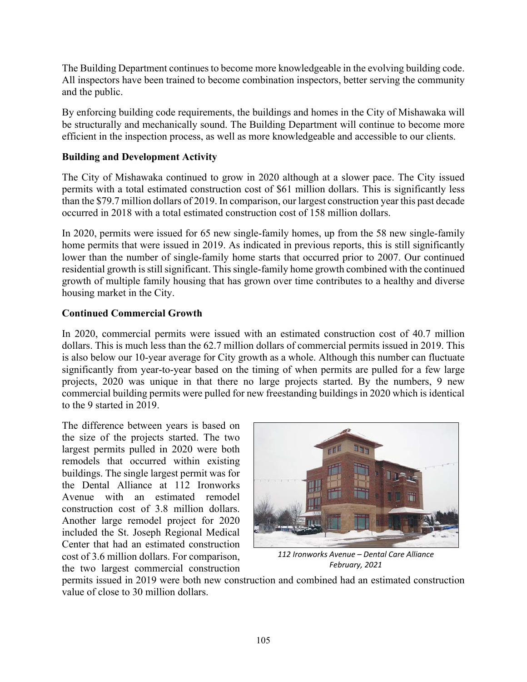The Building Department continues to become more knowledgeable in the evolving building code. All inspectors have been trained to become combination inspectors, better serving the community and the public.

By enforcing building code requirements, the buildings and homes in the City of Mishawaka will be structurally and mechanically sound. The Building Department will continue to become more efficient in the inspection process, as well as more knowledgeable and accessible to our clients.

### **Building and Development Activity**

The City of Mishawaka continued to grow in 2020 although at a slower pace. The City issued permits with a total estimated construction cost of \$61 million dollars. This is significantly less than the \$79.7 million dollars of 2019. In comparison, our largest construction year this past decade occurred in 2018 with a total estimated construction cost of 158 million dollars.

In 2020, permits were issued for 65 new single-family homes, up from the 58 new single-family home permits that were issued in 2019. As indicated in previous reports, this is still significantly lower than the number of single-family home starts that occurred prior to 2007. Our continued residential growth is still significant. This single-family home growth combined with the continued growth of multiple family housing that has grown over time contributes to a healthy and diverse housing market in the City.

### **Continued Commercial Growth**

In 2020, commercial permits were issued with an estimated construction cost of 40.7 million dollars. This is much less than the 62.7 million dollars of commercial permits issued in 2019. This is also below our 10-year average for City growth as a whole. Although this number can fluctuate significantly from year-to-year based on the timing of when permits are pulled for a few large projects, 2020 was unique in that there no large projects started. By the numbers, 9 new commercial building permits were pulled for new freestanding buildings in 2020 which is identical to the 9 started in 2019.

The difference between years is based on the size of the projects started. The two largest permits pulled in 2020 were both remodels that occurred within existing buildings. The single largest permit was for the Dental Alliance at 112 Ironworks Avenue with an estimated remodel construction cost of 3.8 million dollars. Another large remodel project for 2020 included the St. Joseph Regional Medical Center that had an estimated construction cost of 3.6 million dollars. For comparison, the two largest commercial construction



*112 Ironworks Avenue – Dental Care Alliance February, 2021* 

permits issued in 2019 were both new construction and combined had an estimated construction value of close to 30 million dollars.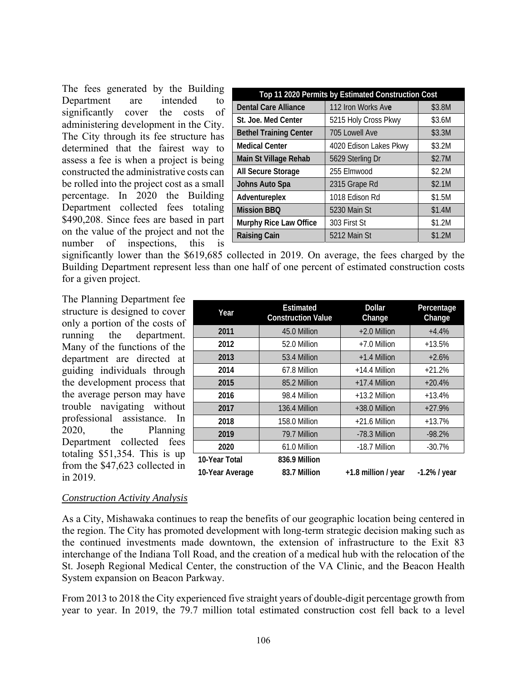The fees generated by the Building Department are intended to significantly cover the costs of administering development in the City. The City through its fee structure has determined that the fairest way to assess a fee is when a project is being constructed the administrative costs can be rolled into the project cost as a small percentage. In 2020 the Building Department collected fees totaling \$490,208. Since fees are based in part on the value of the project and not the number of inspections, this is

| Top 11 2020 Permits by Estimated Construction Cost |                        |        |  |
|----------------------------------------------------|------------------------|--------|--|
| <b>Dental Care Alliance</b>                        | 112 Iron Works Ave     | \$3.8M |  |
| St. Joe. Med Center                                | 5215 Holy Cross Pkwy   | \$3.6M |  |
| <b>Bethel Training Center</b>                      | 705 Lowell Ave         | \$3.3M |  |
| <b>Medical Center</b>                              | 4020 Edison Lakes Pkwy | \$3.2M |  |
| Main St Village Rehab                              | 5629 Sterling Dr       | \$2.7M |  |
| All Secure Storage                                 | 255 Elmwood            | \$2.2M |  |
| Johns Auto Spa                                     | 2315 Grape Rd          | \$2.1M |  |
| Adventureplex                                      | 1018 Edison Rd         | \$1.5M |  |
| <b>Mission BBQ</b>                                 | 5230 Main St           | \$1.4M |  |
| Murphy Rice Law Office                             | 303 First St           | \$1.2M |  |
| <b>Raising Cain</b>                                | 5212 Main St           | \$1.2M |  |

significantly lower than the \$619,685 collected in 2019. On average, the fees charged by the Building Department represent less than one half of one percent of estimated construction costs for a given project.

The Planning Department fee structure is designed to cover only a portion of the costs of running the department. Many of the functions of the department are directed at guiding individuals through the development process that the average person may have trouble navigating without professional assistance. In 2020, the Planning Department collected fees totaling \$51,354. This is up from the \$47,623 collected in in 2019.

| Year            | <b>Estimated</b><br><b>Construction Value</b> | <b>Dollar</b><br>Change | Percentage<br>Change |
|-----------------|-----------------------------------------------|-------------------------|----------------------|
| 2011            | 45.0 Million                                  | $+2.0$ Million          | $+4.4%$              |
| 2012            | 52.0 Million                                  | $+7.0$ Million          | $+13.5%$             |
| 2013            | 53.4 Million                                  | $+1.4$ Million          | $+2.6%$              |
| 2014            | 67.8 Million                                  | $+14.4$ Million         | $+21.2%$             |
| 2015            | 85.2 Million                                  | $+17.4$ Million         | $+20.4%$             |
| 2016            | 98.4 Million                                  | +13.2 Million           | $+13.4%$             |
| 2017            | 136.4 Million                                 | $+38.0$ Million         | $+27.9%$             |
| 2018            | 158.0 Million                                 | $+21.6$ Million         | $+13.7%$             |
| 2019            | 79.7 Million                                  | -78.3 Million           | $-98.2%$             |
| 2020            | 61.0 Million                                  | -18.7 Million           | $-30.7%$             |
| 10-Year Total   | 836.9 Million                                 |                         |                      |
| 10-Year Average | 83.7 Million                                  | +1.8 million / year     | $-1.2\%$ / year      |

#### *Construction Activity Analysis*

As a City, Mishawaka continues to reap the benefits of our geographic location being centered in the region. The City has promoted development with long-term strategic decision making such as the continued investments made downtown, the extension of infrastructure to the Exit 83 interchange of the Indiana Toll Road, and the creation of a medical hub with the relocation of the St. Joseph Regional Medical Center, the construction of the VA Clinic, and the Beacon Health System expansion on Beacon Parkway.

From 2013 to 2018 the City experienced five straight years of double-digit percentage growth from year to year. In 2019, the 79.7 million total estimated construction cost fell back to a level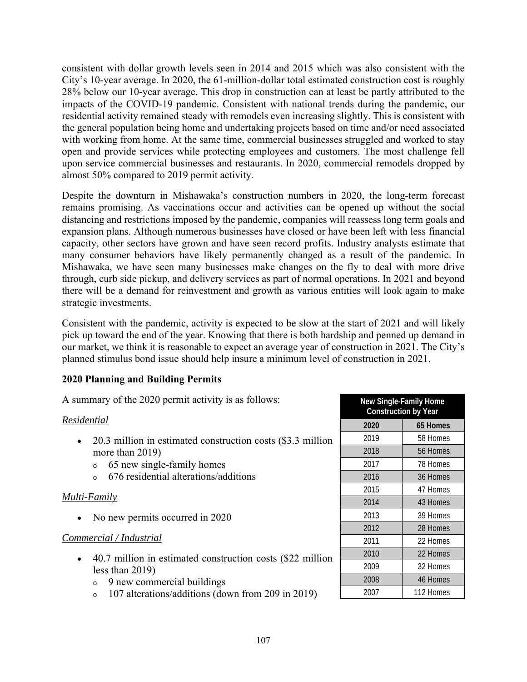consistent with dollar growth levels seen in 2014 and 2015 which was also consistent with the City's 10-year average. In 2020, the 61-million-dollar total estimated construction cost is roughly 28% below our 10-year average. This drop in construction can at least be partly attributed to the impacts of the COVID-19 pandemic. Consistent with national trends during the pandemic, our residential activity remained steady with remodels even increasing slightly. This is consistent with the general population being home and undertaking projects based on time and/or need associated with working from home. At the same time, commercial businesses struggled and worked to stay open and provide services while protecting employees and customers. The most challenge fell upon service commercial businesses and restaurants. In 2020, commercial remodels dropped by almost 50% compared to 2019 permit activity.

Despite the downturn in Mishawaka's construction numbers in 2020, the long-term forecast remains promising. As vaccinations occur and activities can be opened up without the social distancing and restrictions imposed by the pandemic, companies will reassess long term goals and expansion plans. Although numerous businesses have closed or have been left with less financial capacity, other sectors have grown and have seen record profits. Industry analysts estimate that many consumer behaviors have likely permanently changed as a result of the pandemic. In Mishawaka, we have seen many businesses make changes on the fly to deal with more drive through, curb side pickup, and delivery services as part of normal operations. In 2021 and beyond there will be a demand for reinvestment and growth as various entities will look again to make strategic investments.

Consistent with the pandemic, activity is expected to be slow at the start of 2021 and will likely pick up toward the end of the year. Knowing that there is both hardship and penned up demand in our market, we think it is reasonable to expect an average year of construction in 2021. The City's planned stimulus bond issue should help insure a minimum level of construction in 2021.

### **2020 Planning and Building Permits**

A summary of the 2020 permit activity is as follows:

### *Residential*

- 20.3 million in estimated construction costs (\$3.3 million more than 2019)
	- <sup>o</sup> 65 new single-family homes
	- <sup>o</sup> 676 residential alterations/additions

## *Multi-Family*

• No new permits occurred in 2020

## *Commercial / Industrial*

- 40.7 million in estimated construction costs (\$22 million less than 2019)
	- <sup>o</sup> 9 new commercial buildings
	- <sup>o</sup> 107 alterations/additions (down from 209 in 2019)

| <b>New Single-Family Home</b><br><b>Construction by Year</b> |           |  |
|--------------------------------------------------------------|-----------|--|
| 2020                                                         | 65 Homes  |  |
| 2019                                                         | 58 Homes  |  |
| 2018                                                         | 56 Homes  |  |
| 2017                                                         | 78 Homes  |  |
| 2016                                                         | 36 Homes  |  |
| 2015                                                         | 47 Homes  |  |
| 2014                                                         | 43 Homes  |  |
| 2013                                                         | 39 Homes  |  |
| 2012                                                         | 28 Homes  |  |
| 2011                                                         | 22 Homes  |  |
| 2010                                                         | 22 Homes  |  |
| 2009                                                         | 32 Homes  |  |
| 2008                                                         | 46 Homes  |  |
| 2007                                                         | 112 Homes |  |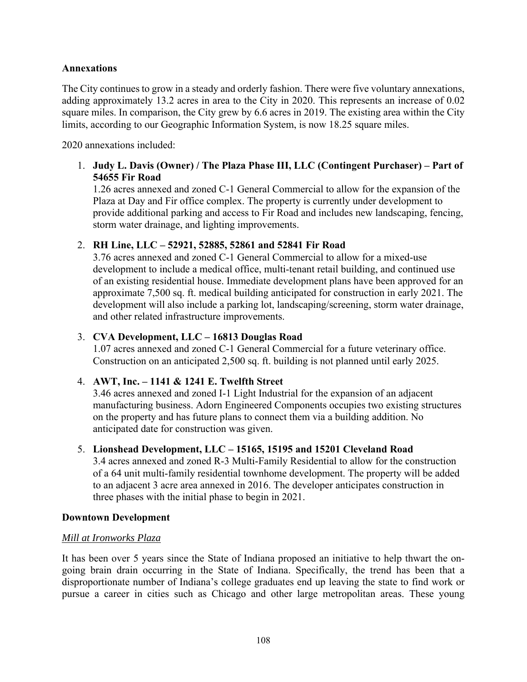### **Annexations**

The City continues to grow in a steady and orderly fashion. There were five voluntary annexations, adding approximately 13.2 acres in area to the City in 2020. This represents an increase of 0.02 square miles. In comparison, the City grew by 6.6 acres in 2019. The existing area within the City limits, according to our Geographic Information System, is now 18.25 square miles.

2020 annexations included:

1. **Judy L. Davis (Owner) / The Plaza Phase III, LLC (Contingent Purchaser) – Part of 54655 Fir Road**

1.26 acres annexed and zoned C-1 General Commercial to allow for the expansion of the Plaza at Day and Fir office complex. The property is currently under development to provide additional parking and access to Fir Road and includes new landscaping, fencing, storm water drainage, and lighting improvements.

#### 2. **RH Line, LLC – 52921, 52885, 52861 and 52841 Fir Road**

3.76 acres annexed and zoned C-1 General Commercial to allow for a mixed-use development to include a medical office, multi-tenant retail building, and continued use of an existing residential house. Immediate development plans have been approved for an approximate 7,500 sq. ft. medical building anticipated for construction in early 2021. The development will also include a parking lot, landscaping/screening, storm water drainage, and other related infrastructure improvements.

### 3. **CVA Development, LLC – 16813 Douglas Road**

1.07 acres annexed and zoned C-1 General Commercial for a future veterinary office. Construction on an anticipated 2,500 sq. ft. building is not planned until early 2025.

### 4. **AWT, Inc. – 1141 & 1241 E. Twelfth Street**

3.46 acres annexed and zoned I-1 Light Industrial for the expansion of an adjacent manufacturing business. Adorn Engineered Components occupies two existing structures on the property and has future plans to connect them via a building addition. No anticipated date for construction was given.

#### 5. **Lionshead Development, LLC – 15165, 15195 and 15201 Cleveland Road**

3.4 acres annexed and zoned R-3 Multi-Family Residential to allow for the construction of a 64 unit multi-family residential townhome development. The property will be added to an adjacent 3 acre area annexed in 2016. The developer anticipates construction in three phases with the initial phase to begin in 2021.

#### **Downtown Development**

#### *Mill at Ironworks Plaza*

It has been over 5 years since the State of Indiana proposed an initiative to help thwart the ongoing brain drain occurring in the State of Indiana. Specifically, the trend has been that a disproportionate number of Indiana's college graduates end up leaving the state to find work or pursue a career in cities such as Chicago and other large metropolitan areas. These young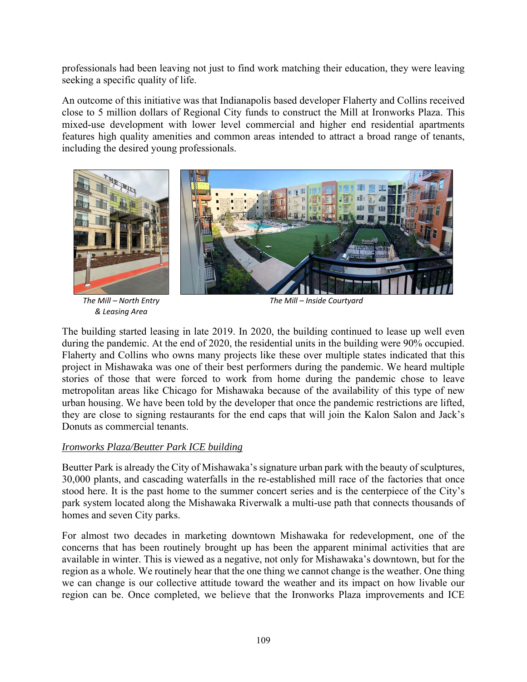professionals had been leaving not just to find work matching their education, they were leaving seeking a specific quality of life.

An outcome of this initiative was that Indianapolis based developer Flaherty and Collins received close to 5 million dollars of Regional City funds to construct the Mill at Ironworks Plaza. This mixed-use development with lower level commercial and higher end residential apartments features high quality amenities and common areas intended to attract a broad range of tenants, including the desired young professionals.



*The Mill – North Entry & Leasing Area* 

*The Mill – Inside Courtyard*

The building started leasing in late 2019. In 2020, the building continued to lease up well even during the pandemic. At the end of 2020, the residential units in the building were 90% occupied. Flaherty and Collins who owns many projects like these over multiple states indicated that this project in Mishawaka was one of their best performers during the pandemic. We heard multiple stories of those that were forced to work from home during the pandemic chose to leave metropolitan areas like Chicago for Mishawaka because of the availability of this type of new urban housing. We have been told by the developer that once the pandemic restrictions are lifted, they are close to signing restaurants for the end caps that will join the Kalon Salon and Jack's Donuts as commercial tenants.

### *Ironworks Plaza/Beutter Park ICE building*

Beutter Park is already the City of Mishawaka's signature urban park with the beauty of sculptures, 30,000 plants, and cascading waterfalls in the re-established mill race of the factories that once stood here. It is the past home to the summer concert series and is the centerpiece of the City's park system located along the Mishawaka Riverwalk a multi-use path that connects thousands of homes and seven City parks.

For almost two decades in marketing downtown Mishawaka for redevelopment, one of the concerns that has been routinely brought up has been the apparent minimal activities that are available in winter. This is viewed as a negative, not only for Mishawaka's downtown, but for the region as a whole. We routinely hear that the one thing we cannot change is the weather. One thing we can change is our collective attitude toward the weather and its impact on how livable our region can be. Once completed, we believe that the Ironworks Plaza improvements and ICE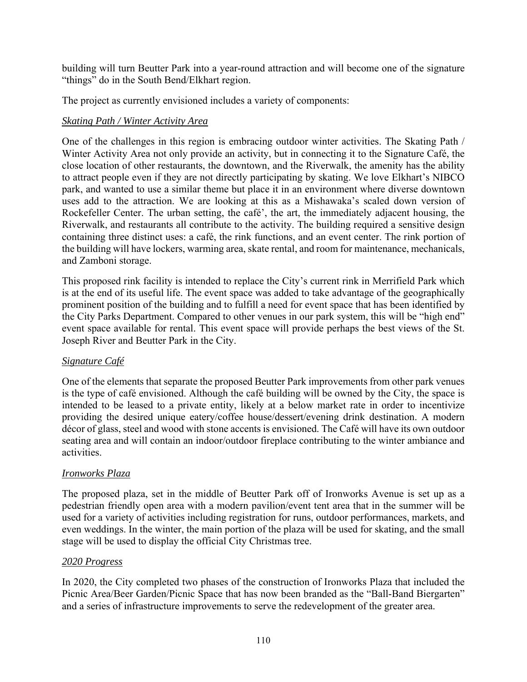building will turn Beutter Park into a year-round attraction and will become one of the signature "things" do in the South Bend/Elkhart region.

The project as currently envisioned includes a variety of components:

### *Skating Path / Winter Activity Area*

One of the challenges in this region is embracing outdoor winter activities. The Skating Path / Winter Activity Area not only provide an activity, but in connecting it to the Signature Café, the close location of other restaurants, the downtown, and the Riverwalk, the amenity has the ability to attract people even if they are not directly participating by skating. We love Elkhart's NIBCO park, and wanted to use a similar theme but place it in an environment where diverse downtown uses add to the attraction. We are looking at this as a Mishawaka's scaled down version of Rockefeller Center. The urban setting, the café', the art, the immediately adjacent housing, the Riverwalk, and restaurants all contribute to the activity. The building required a sensitive design containing three distinct uses: a café, the rink functions, and an event center. The rink portion of the building will have lockers, warming area, skate rental, and room for maintenance, mechanicals, and Zamboni storage.

This proposed rink facility is intended to replace the City's current rink in Merrifield Park which is at the end of its useful life. The event space was added to take advantage of the geographically prominent position of the building and to fulfill a need for event space that has been identified by the City Parks Department. Compared to other venues in our park system, this will be "high end" event space available for rental. This event space will provide perhaps the best views of the St. Joseph River and Beutter Park in the City.

### *Signature Café*

One of the elements that separate the proposed Beutter Park improvements from other park venues is the type of café envisioned. Although the café building will be owned by the City, the space is intended to be leased to a private entity, likely at a below market rate in order to incentivize providing the desired unique eatery/coffee house/dessert/evening drink destination. A modern décor of glass, steel and wood with stone accents is envisioned. The Café will have its own outdoor seating area and will contain an indoor/outdoor fireplace contributing to the winter ambiance and activities.

### *Ironworks Plaza*

The proposed plaza, set in the middle of Beutter Park off of Ironworks Avenue is set up as a pedestrian friendly open area with a modern pavilion/event tent area that in the summer will be used for a variety of activities including registration for runs, outdoor performances, markets, and even weddings. In the winter, the main portion of the plaza will be used for skating, and the small stage will be used to display the official City Christmas tree.

#### *2020 Progress*

In 2020, the City completed two phases of the construction of Ironworks Plaza that included the Picnic Area/Beer Garden/Picnic Space that has now been branded as the "Ball-Band Biergarten" and a series of infrastructure improvements to serve the redevelopment of the greater area.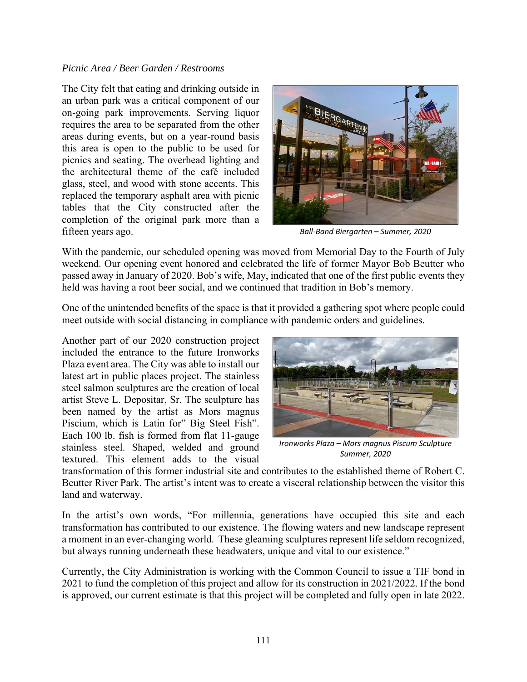#### *Picnic Area / Beer Garden / Restrooms*

The City felt that eating and drinking outside in an urban park was a critical component of our on-going park improvements. Serving liquor requires the area to be separated from the other areas during events, but on a year-round basis this area is open to the public to be used for picnics and seating. The overhead lighting and the architectural theme of the café included glass, steel, and wood with stone accents. This replaced the temporary asphalt area with picnic tables that the City constructed after the completion of the original park more than a fifteen years ago.



*Ball‐Band Biergarten – Summer, 2020* 

With the pandemic, our scheduled opening was moved from Memorial Day to the Fourth of July weekend. Our opening event honored and celebrated the life of former Mayor Bob Beutter who passed away in January of 2020. Bob's wife, May, indicated that one of the first public events they held was having a root beer social, and we continued that tradition in Bob's memory.

One of the unintended benefits of the space is that it provided a gathering spot where people could meet outside with social distancing in compliance with pandemic orders and guidelines.

Another part of our 2020 construction project included the entrance to the future Ironworks Plaza event area. The City was able to install our latest art in public places project. The stainless steel salmon sculptures are the creation of local artist Steve L. Depositar, Sr. The sculpture has been named by the artist as Mors magnus Piscium, which is Latin for" Big Steel Fish". Each 100 lb. fish is formed from flat 11-gauge stainless steel. Shaped, welded and ground textured. This element adds to the visual



*Ironworks Plaza – Mors magnus Piscum Sculpture Summer, 2020* 

transformation of this former industrial site and contributes to the established theme of Robert C. Beutter River Park. The artist's intent was to create a visceral relationship between the visitor this land and waterway.

In the artist's own words, "For millennia, generations have occupied this site and each transformation has contributed to our existence. The flowing waters and new landscape represent a moment in an ever-changing world. These gleaming sculptures represent life seldom recognized, but always running underneath these headwaters, unique and vital to our existence."

Currently, the City Administration is working with the Common Council to issue a TIF bond in 2021 to fund the completion of this project and allow for its construction in 2021/2022. If the bond is approved, our current estimate is that this project will be completed and fully open in late 2022.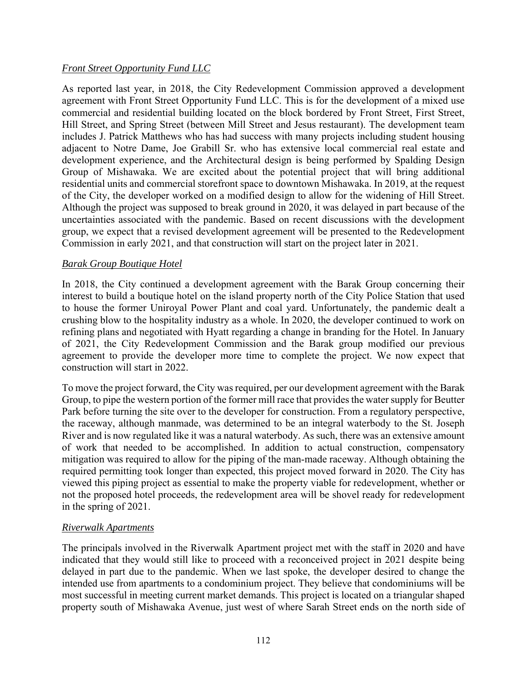### *Front Street Opportunity Fund LLC*

As reported last year, in 2018, the City Redevelopment Commission approved a development agreement with Front Street Opportunity Fund LLC. This is for the development of a mixed use commercial and residential building located on the block bordered by Front Street, First Street, Hill Street, and Spring Street (between Mill Street and Jesus restaurant). The development team includes J. Patrick Matthews who has had success with many projects including student housing adjacent to Notre Dame, Joe Grabill Sr. who has extensive local commercial real estate and development experience, and the Architectural design is being performed by Spalding Design Group of Mishawaka. We are excited about the potential project that will bring additional residential units and commercial storefront space to downtown Mishawaka. In 2019, at the request of the City, the developer worked on a modified design to allow for the widening of Hill Street. Although the project was supposed to break ground in 2020, it was delayed in part because of the uncertainties associated with the pandemic. Based on recent discussions with the development group, we expect that a revised development agreement will be presented to the Redevelopment Commission in early 2021, and that construction will start on the project later in 2021.

#### *Barak Group Boutique Hotel*

In 2018, the City continued a development agreement with the Barak Group concerning their interest to build a boutique hotel on the island property north of the City Police Station that used to house the former Uniroyal Power Plant and coal yard. Unfortunately, the pandemic dealt a crushing blow to the hospitality industry as a whole. In 2020, the developer continued to work on refining plans and negotiated with Hyatt regarding a change in branding for the Hotel. In January of 2021, the City Redevelopment Commission and the Barak group modified our previous agreement to provide the developer more time to complete the project. We now expect that construction will start in 2022.

To move the project forward, the City was required, per our development agreement with the Barak Group, to pipe the western portion of the former mill race that provides the water supply for Beutter Park before turning the site over to the developer for construction. From a regulatory perspective, the raceway, although manmade, was determined to be an integral waterbody to the St. Joseph River and is now regulated like it was a natural waterbody. As such, there was an extensive amount of work that needed to be accomplished. In addition to actual construction, compensatory mitigation was required to allow for the piping of the man-made raceway. Although obtaining the required permitting took longer than expected, this project moved forward in 2020. The City has viewed this piping project as essential to make the property viable for redevelopment, whether or not the proposed hotel proceeds, the redevelopment area will be shovel ready for redevelopment in the spring of 2021.

#### *Riverwalk Apartments*

The principals involved in the Riverwalk Apartment project met with the staff in 2020 and have indicated that they would still like to proceed with a reconceived project in 2021 despite being delayed in part due to the pandemic. When we last spoke, the developer desired to change the intended use from apartments to a condominium project. They believe that condominiums will be most successful in meeting current market demands. This project is located on a triangular shaped property south of Mishawaka Avenue, just west of where Sarah Street ends on the north side of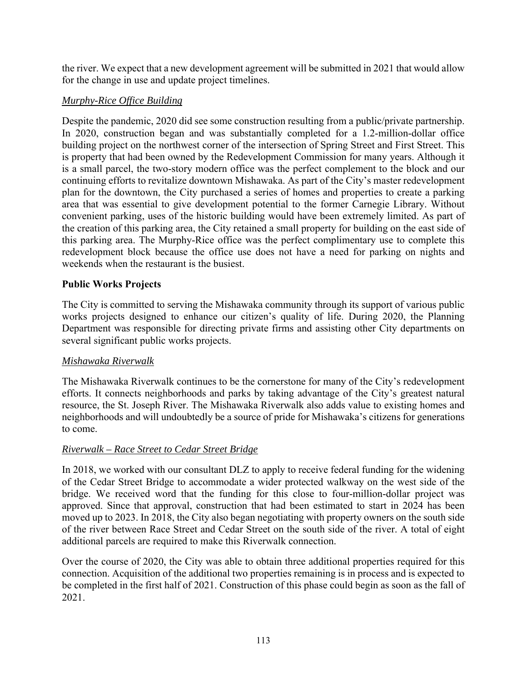the river. We expect that a new development agreement will be submitted in 2021 that would allow for the change in use and update project timelines.

### *Murphy-Rice Office Building*

Despite the pandemic, 2020 did see some construction resulting from a public/private partnership. In 2020, construction began and was substantially completed for a 1.2-million-dollar office building project on the northwest corner of the intersection of Spring Street and First Street. This is property that had been owned by the Redevelopment Commission for many years. Although it is a small parcel, the two-story modern office was the perfect complement to the block and our continuing efforts to revitalize downtown Mishawaka. As part of the City's master redevelopment plan for the downtown, the City purchased a series of homes and properties to create a parking area that was essential to give development potential to the former Carnegie Library. Without convenient parking, uses of the historic building would have been extremely limited. As part of the creation of this parking area, the City retained a small property for building on the east side of this parking area. The Murphy-Rice office was the perfect complimentary use to complete this redevelopment block because the office use does not have a need for parking on nights and weekends when the restaurant is the busiest.

### **Public Works Projects**

The City is committed to serving the Mishawaka community through its support of various public works projects designed to enhance our citizen's quality of life. During 2020, the Planning Department was responsible for directing private firms and assisting other City departments on several significant public works projects.

### *Mishawaka Riverwalk*

The Mishawaka Riverwalk continues to be the cornerstone for many of the City's redevelopment efforts. It connects neighborhoods and parks by taking advantage of the City's greatest natural resource, the St. Joseph River. The Mishawaka Riverwalk also adds value to existing homes and neighborhoods and will undoubtedly be a source of pride for Mishawaka's citizens for generations to come.

### *Riverwalk – Race Street to Cedar Street Bridge*

In 2018, we worked with our consultant DLZ to apply to receive federal funding for the widening of the Cedar Street Bridge to accommodate a wider protected walkway on the west side of the bridge. We received word that the funding for this close to four-million-dollar project was approved. Since that approval, construction that had been estimated to start in 2024 has been moved up to 2023. In 2018, the City also began negotiating with property owners on the south side of the river between Race Street and Cedar Street on the south side of the river. A total of eight additional parcels are required to make this Riverwalk connection.

Over the course of 2020, the City was able to obtain three additional properties required for this connection. Acquisition of the additional two properties remaining is in process and is expected to be completed in the first half of 2021. Construction of this phase could begin as soon as the fall of 2021.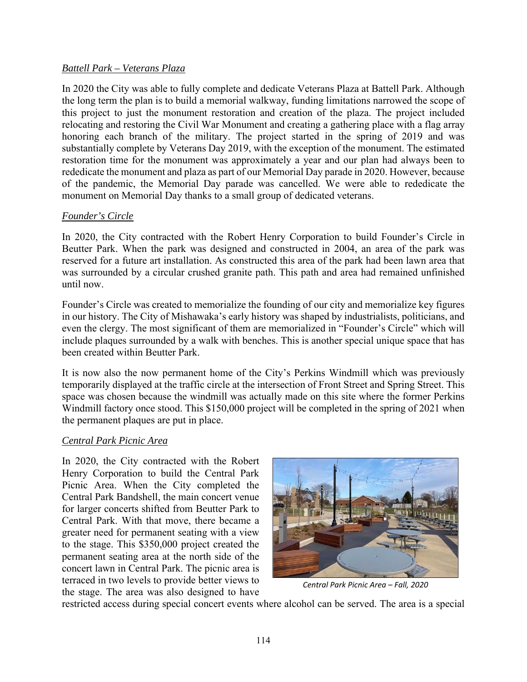### *Battell Park – Veterans Plaza*

In 2020 the City was able to fully complete and dedicate Veterans Plaza at Battell Park. Although the long term the plan is to build a memorial walkway, funding limitations narrowed the scope of this project to just the monument restoration and creation of the plaza. The project included relocating and restoring the Civil War Monument and creating a gathering place with a flag array honoring each branch of the military. The project started in the spring of 2019 and was substantially complete by Veterans Day 2019, with the exception of the monument. The estimated restoration time for the monument was approximately a year and our plan had always been to rededicate the monument and plaza as part of our Memorial Day parade in 2020. However, because of the pandemic, the Memorial Day parade was cancelled. We were able to rededicate the monument on Memorial Day thanks to a small group of dedicated veterans.

#### *Founder's Circle*

In 2020, the City contracted with the Robert Henry Corporation to build Founder's Circle in Beutter Park. When the park was designed and constructed in 2004, an area of the park was reserved for a future art installation. As constructed this area of the park had been lawn area that was surrounded by a circular crushed granite path. This path and area had remained unfinished until now.

Founder's Circle was created to memorialize the founding of our city and memorialize key figures in our history. The City of Mishawaka's early history was shaped by industrialists, politicians, and even the clergy. The most significant of them are memorialized in "Founder's Circle" which will include plaques surrounded by a walk with benches. This is another special unique space that has been created within Beutter Park.

It is now also the now permanent home of the City's Perkins Windmill which was previously temporarily displayed at the traffic circle at the intersection of Front Street and Spring Street. This space was chosen because the windmill was actually made on this site where the former Perkins Windmill factory once stood. This \$150,000 project will be completed in the spring of 2021 when the permanent plaques are put in place.

#### *Central Park Picnic Area*

In 2020, the City contracted with the Robert Henry Corporation to build the Central Park Picnic Area. When the City completed the Central Park Bandshell, the main concert venue for larger concerts shifted from Beutter Park to Central Park. With that move, there became a greater need for permanent seating with a view to the stage. This \$350,000 project created the permanent seating area at the north side of the concert lawn in Central Park. The picnic area is terraced in two levels to provide better views to the stage. The area was also designed to have



*Central Park Picnic Area – Fall, 2020* 

restricted access during special concert events where alcohol can be served. The area is a special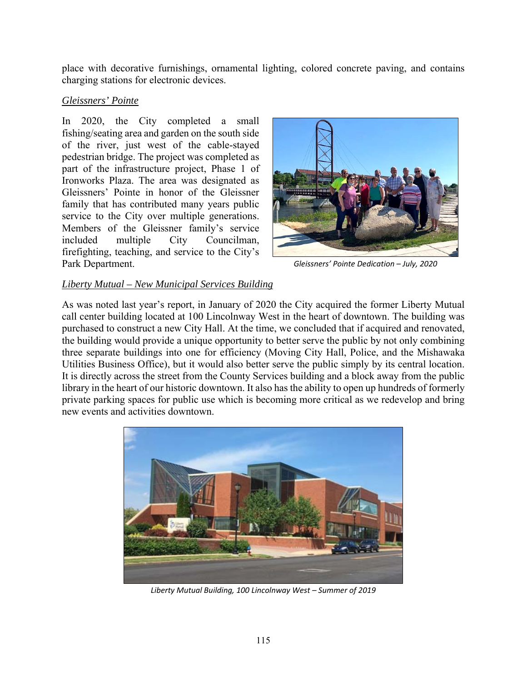place with decorative furnishings, ornamental lighting, colored concrete paving, and contains charging stations for electronic devices.

#### *Gleissners' Pointe*

In 2020, the City completed a small fishing/seating area and garden on the south side of the river, just west of the cable-stayed pedestrian bridge. The project was completed as part of the infrastructure project, Phase 1 of Ironworks Plaza. The area was designated as Gleissners' Pointe in honor of the Gleissner family that has contributed many years public service to the City over multiple generations. Members of the Gleissner family's service included multiple City Councilman, firefighting, teaching, and service to the City's Park Department.



*Gleissners' Pointe Dedication – July, 2020* 

### *Liberty Mutual – New Municipal Services Building*

As was noted last year's report, in January of 2020 the City acquired the former Liberty Mutual call center building located at 100 Lincolnway West in the heart of downtown. The building was purchased to construct a new City Hall. At the time, we concluded that if acquired and renovated, the building would provide a unique opportunity to better serve the public by not only combining three separate buildings into one for efficiency (Moving City Hall, Police, and the Mishawaka Utilities Business Office), but it would also better serve the public simply by its central location. It is directly across the street from the County Services building and a block away from the public library in the heart of our historic downtown. It also has the ability to open up hundreds of formerly private parking spaces for public use which is becoming more critical as we redevelop and bring new events and activities downtown.



*Liberty Mutual Building, 100 Lincolnway West – Summer of 2019*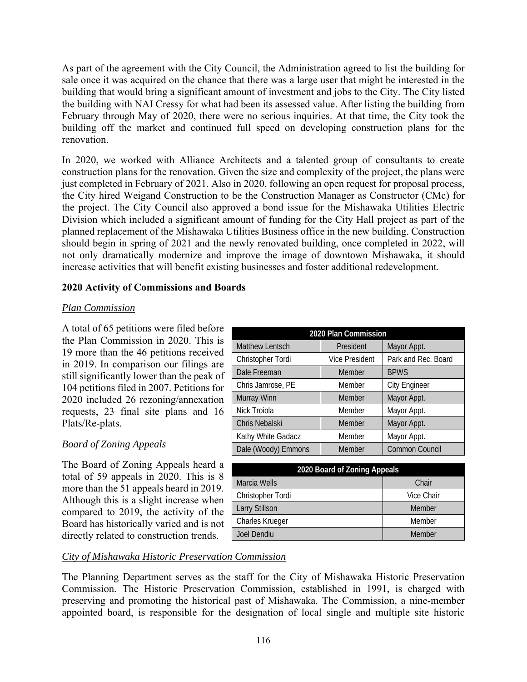As part of the agreement with the City Council, the Administration agreed to list the building for sale once it was acquired on the chance that there was a large user that might be interested in the building that would bring a significant amount of investment and jobs to the City. The City listed the building with NAI Cressy for what had been its assessed value. After listing the building from February through May of 2020, there were no serious inquiries. At that time, the City took the building off the market and continued full speed on developing construction plans for the renovation.

In 2020, we worked with Alliance Architects and a talented group of consultants to create construction plans for the renovation. Given the size and complexity of the project, the plans were just completed in February of 2021. Also in 2020, following an open request for proposal process, the City hired Weigand Construction to be the Construction Manager as Constructor (CMc) for the project. The City Council also approved a bond issue for the Mishawaka Utilities Electric Division which included a significant amount of funding for the City Hall project as part of the planned replacement of the Mishawaka Utilities Business office in the new building. Construction should begin in spring of 2021 and the newly renovated building, once completed in 2022, will not only dramatically modernize and improve the image of downtown Mishawaka, it should increase activities that will benefit existing businesses and foster additional redevelopment.

### **2020 Activity of Commissions and Boards**

### *Plan Commission*

A total of 65 petitions were filed before the Plan Commission in 2020. This is 19 more than the 46 petitions received in 2019. In comparison our filings are still significantly lower than the peak of 104 petitions filed in 2007. Petitions for 2020 included 26 rezoning/annexation requests, 23 final site plans and 16 Plats/Re-plats.

## *Board of Zoning Appeals*

The Board of Zoning Appeals heard a total of 59 appeals in 2020. This is 8 more than the 51 appeals heard in 2019. Although this is a slight increase when compared to 2019, the activity of the Board has historically varied and is not directly related to construction trends.

| 2020 Plan Commission   |                       |                      |  |
|------------------------|-----------------------|----------------------|--|
| <b>Matthew Lentsch</b> | President             | Mayor Appt.          |  |
| Christopher Tordi      | <b>Vice President</b> | Park and Rec. Board  |  |
| Dale Freeman           | Member                | <b>BPWS</b>          |  |
| Chris Jamrose, PE      | Member                | <b>City Engineer</b> |  |
| Murray Winn            | Member                | Mayor Appt.          |  |
| Nick Troiola           | Member                | Mayor Appt.          |  |
| Chris Nebalski         | Member                | Mayor Appt.          |  |
| Kathy White Gadacz     | Member                | Mayor Appt.          |  |
| Dale (Woody) Emmons    | Member                | Common Council       |  |

| 2020 Board of Zoning Appeals |            |  |
|------------------------------|------------|--|
| Marcia Wells                 | Chair      |  |
| Christopher Tordi            | Vice Chair |  |
| <b>Larry Stillson</b>        | Member     |  |
| Charles Krueger              | Member     |  |
| Joel Dendiu                  | Member     |  |

## *City of Mishawaka Historic Preservation Commission*

The Planning Department serves as the staff for the City of Mishawaka Historic Preservation Commission. The Historic Preservation Commission, established in 1991, is charged with preserving and promoting the historical past of Mishawaka. The Commission, a nine-member appointed board, is responsible for the designation of local single and multiple site historic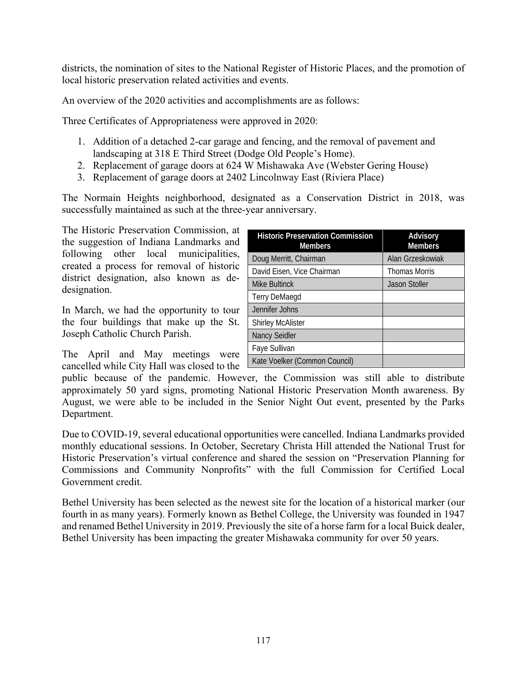districts, the nomination of sites to the National Register of Historic Places, and the promotion of local historic preservation related activities and events.

An overview of the 2020 activities and accomplishments are as follows:

Three Certificates of Appropriateness were approved in 2020:

- 1. Addition of a detached 2-car garage and fencing, and the removal of pavement and landscaping at 318 E Third Street (Dodge Old People's Home).
- 2. Replacement of garage doors at 624 W Mishawaka Ave (Webster Gering House)
- 3. Replacement of garage doors at 2402 Lincolnway East (Riviera Place)

The Normain Heights neighborhood, designated as a Conservation District in 2018, was successfully maintained as such at the three-year anniversary.

The Historic Preservation Commission, at the suggestion of Indiana Landmarks and following other local municipalities, created a process for removal of historic district designation, also known as dedesignation.

In March, we had the opportunity to tour the four buildings that make up the St. Joseph Catholic Church Parish.

The April and May meetings were cancelled while City Hall was closed to the

| <b>Historic Preservation Commission</b><br><b>Members</b> | Advisory<br><b>Members</b> |
|-----------------------------------------------------------|----------------------------|
| Doug Merritt, Chairman                                    | Alan Grzeskowiak           |
| David Eisen, Vice Chairman                                | <b>Thomas Morris</b>       |
| <b>Mike Bultinck</b>                                      | <b>Jason Stoller</b>       |
| <b>Terry DeMaegd</b>                                      |                            |
| Jennifer Johns                                            |                            |
| <b>Shirley McAlister</b>                                  |                            |
| <b>Nancy Seidler</b>                                      |                            |
| Faye Sullivan                                             |                            |
| Kate Voelker (Common Council)                             |                            |

public because of the pandemic. However, the Commission was still able to distribute approximately 50 yard signs, promoting National Historic Preservation Month awareness. By August, we were able to be included in the Senior Night Out event, presented by the Parks Department.

Due to COVID-19, several educational opportunities were cancelled. Indiana Landmarks provided monthly educational sessions. In October, Secretary Christa Hill attended the National Trust for Historic Preservation's virtual conference and shared the session on "Preservation Planning for Commissions and Community Nonprofits" with the full Commission for Certified Local Government credit.

Bethel University has been selected as the newest site for the location of a historical marker (our fourth in as many years). Formerly known as Bethel College, the University was founded in 1947 and renamed Bethel University in 2019. Previously the site of a horse farm for a local Buick dealer, Bethel University has been impacting the greater Mishawaka community for over 50 years.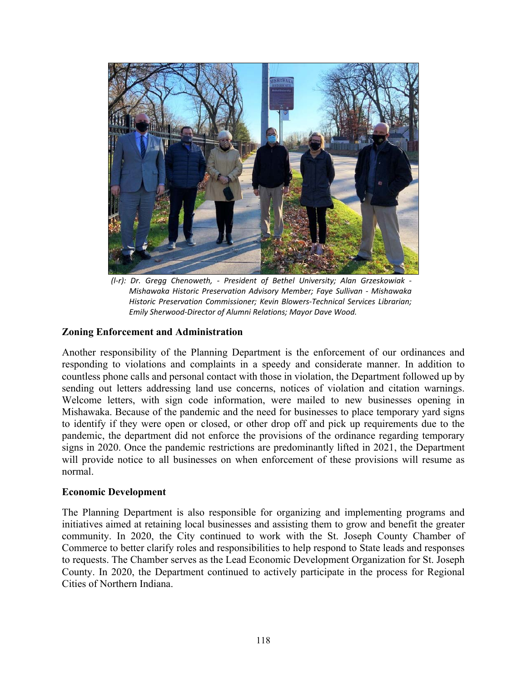

*(l‐r): Dr. Gregg Chenoweth, ‐ President of Bethel University; Alan Grzeskowiak ‐ Mishawaka Historic Preservation Advisory Member; Faye Sullivan ‐ Mishawaka Historic Preservation Commissioner; Kevin Blowers‐Technical Services Librarian; Emily Sherwood‐Director of Alumni Relations; Mayor Dave Wood.* 

#### **Zoning Enforcement and Administration**

Another responsibility of the Planning Department is the enforcement of our ordinances and responding to violations and complaints in a speedy and considerate manner. In addition to countless phone calls and personal contact with those in violation, the Department followed up by sending out letters addressing land use concerns, notices of violation and citation warnings. Welcome letters, with sign code information, were mailed to new businesses opening in Mishawaka. Because of the pandemic and the need for businesses to place temporary yard signs to identify if they were open or closed, or other drop off and pick up requirements due to the pandemic, the department did not enforce the provisions of the ordinance regarding temporary signs in 2020. Once the pandemic restrictions are predominantly lifted in 2021, the Department will provide notice to all businesses on when enforcement of these provisions will resume as normal.

#### **Economic Development**

The Planning Department is also responsible for organizing and implementing programs and initiatives aimed at retaining local businesses and assisting them to grow and benefit the greater community. In 2020, the City continued to work with the St. Joseph County Chamber of Commerce to better clarify roles and responsibilities to help respond to State leads and responses to requests. The Chamber serves as the Lead Economic Development Organization for St. Joseph County. In 2020, the Department continued to actively participate in the process for Regional Cities of Northern Indiana.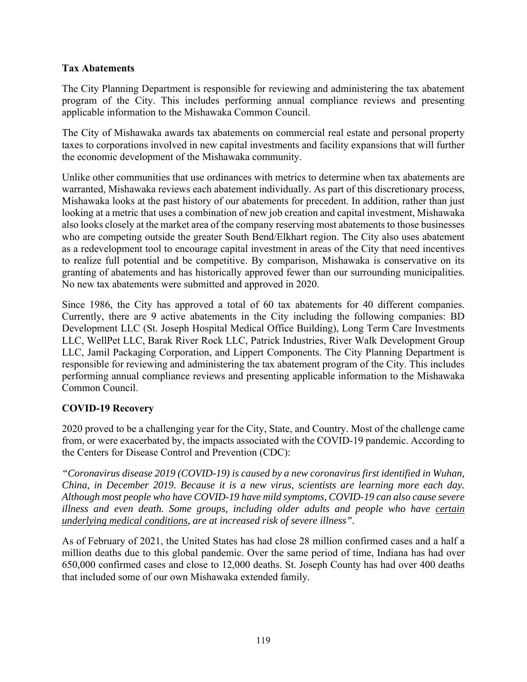### **Tax Abatements**

The City Planning Department is responsible for reviewing and administering the tax abatement program of the City. This includes performing annual compliance reviews and presenting applicable information to the Mishawaka Common Council.

The City of Mishawaka awards tax abatements on commercial real estate and personal property taxes to corporations involved in new capital investments and facility expansions that will further the economic development of the Mishawaka community.

Unlike other communities that use ordinances with metrics to determine when tax abatements are warranted, Mishawaka reviews each abatement individually. As part of this discretionary process, Mishawaka looks at the past history of our abatements for precedent. In addition, rather than just looking at a metric that uses a combination of new job creation and capital investment, Mishawaka also looks closely at the market area of the company reserving most abatements to those businesses who are competing outside the greater South Bend/Elkhart region. The City also uses abatement as a redevelopment tool to encourage capital investment in areas of the City that need incentives to realize full potential and be competitive. By comparison, Mishawaka is conservative on its granting of abatements and has historically approved fewer than our surrounding municipalities. No new tax abatements were submitted and approved in 2020.

Since 1986, the City has approved a total of 60 tax abatements for 40 different companies. Currently, there are 9 active abatements in the City including the following companies: BD Development LLC (St. Joseph Hospital Medical Office Building), Long Term Care Investments LLC, WellPet LLC, Barak River Rock LLC, Patrick Industries, River Walk Development Group LLC, Jamil Packaging Corporation, and Lippert Components. The City Planning Department is responsible for reviewing and administering the tax abatement program of the City. This includes performing annual compliance reviews and presenting applicable information to the Mishawaka Common Council.

### **COVID-19 Recovery**

2020 proved to be a challenging year for the City, State, and Country. Most of the challenge came from, or were exacerbated by, the impacts associated with the COVID-19 pandemic. According to the Centers for Disease Control and Prevention (CDC):

*"Coronavirus disease 2019 (COVID-19) is caused by a new coronavirus first identified in Wuhan, China, in December 2019. Because it is a new virus, scientists are learning more each day. Although most people who have COVID-19 have mild symptoms, COVID-19 can also cause severe illness and even death. Some groups, including older adults and people who have certain underlying medical conditions, are at increased risk of severe illness".* 

As of February of 2021, the United States has had close 28 million confirmed cases and a half a million deaths due to this global pandemic. Over the same period of time, Indiana has had over 650,000 confirmed cases and close to 12,000 deaths. St. Joseph County has had over 400 deaths that included some of our own Mishawaka extended family.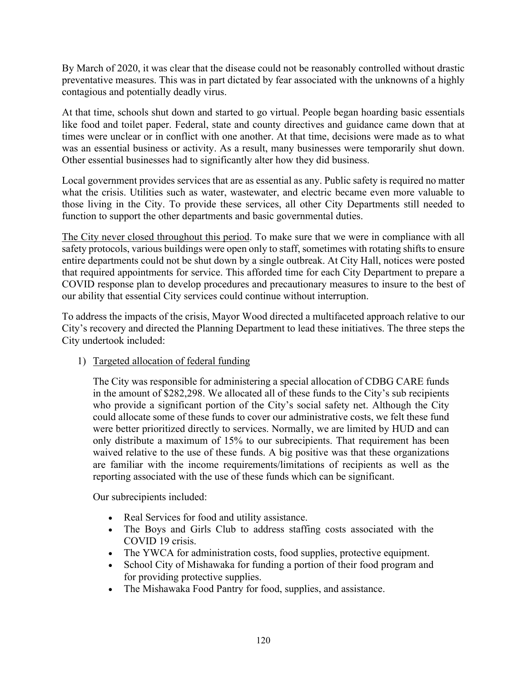By March of 2020, it was clear that the disease could not be reasonably controlled without drastic preventative measures. This was in part dictated by fear associated with the unknowns of a highly contagious and potentially deadly virus.

At that time, schools shut down and started to go virtual. People began hoarding basic essentials like food and toilet paper. Federal, state and county directives and guidance came down that at times were unclear or in conflict with one another. At that time, decisions were made as to what was an essential business or activity. As a result, many businesses were temporarily shut down. Other essential businesses had to significantly alter how they did business.

Local government provides services that are as essential as any. Public safety is required no matter what the crisis. Utilities such as water, wastewater, and electric became even more valuable to those living in the City. To provide these services, all other City Departments still needed to function to support the other departments and basic governmental duties.

The City never closed throughout this period. To make sure that we were in compliance with all safety protocols, various buildings were open only to staff, sometimes with rotating shifts to ensure entire departments could not be shut down by a single outbreak. At City Hall, notices were posted that required appointments for service. This afforded time for each City Department to prepare a COVID response plan to develop procedures and precautionary measures to insure to the best of our ability that essential City services could continue without interruption.

To address the impacts of the crisis, Mayor Wood directed a multifaceted approach relative to our City's recovery and directed the Planning Department to lead these initiatives. The three steps the City undertook included:

1) Targeted allocation of federal funding

The City was responsible for administering a special allocation of CDBG CARE funds in the amount of \$282,298. We allocated all of these funds to the City's sub recipients who provide a significant portion of the City's social safety net. Although the City could allocate some of these funds to cover our administrative costs, we felt these fund were better prioritized directly to services. Normally, we are limited by HUD and can only distribute a maximum of 15% to our subrecipients. That requirement has been waived relative to the use of these funds. A big positive was that these organizations are familiar with the income requirements/limitations of recipients as well as the reporting associated with the use of these funds which can be significant.

Our subrecipients included:

- Real Services for food and utility assistance.
- The Boys and Girls Club to address staffing costs associated with the COVID 19 crisis.
- The YWCA for administration costs, food supplies, protective equipment.
- School City of Mishawaka for funding a portion of their food program and for providing protective supplies.
- The Mishawaka Food Pantry for food, supplies, and assistance.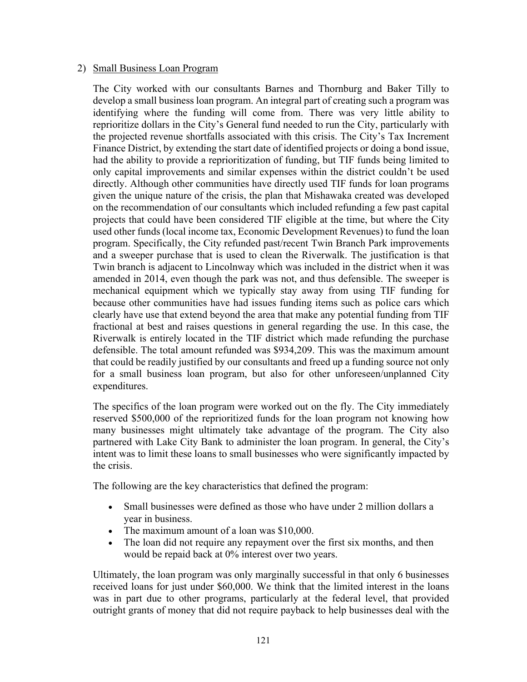#### 2) Small Business Loan Program

The City worked with our consultants Barnes and Thornburg and Baker Tilly to develop a small business loan program. An integral part of creating such a program was identifying where the funding will come from. There was very little ability to reprioritize dollars in the City's General fund needed to run the City, particularly with the projected revenue shortfalls associated with this crisis. The City's Tax Increment Finance District, by extending the start date of identified projects or doing a bond issue, had the ability to provide a reprioritization of funding, but TIF funds being limited to only capital improvements and similar expenses within the district couldn't be used directly. Although other communities have directly used TIF funds for loan programs given the unique nature of the crisis, the plan that Mishawaka created was developed on the recommendation of our consultants which included refunding a few past capital projects that could have been considered TIF eligible at the time, but where the City used other funds (local income tax, Economic Development Revenues) to fund the loan program. Specifically, the City refunded past/recent Twin Branch Park improvements and a sweeper purchase that is used to clean the Riverwalk. The justification is that Twin branch is adjacent to Lincolnway which was included in the district when it was amended in 2014, even though the park was not, and thus defensible. The sweeper is mechanical equipment which we typically stay away from using TIF funding for because other communities have had issues funding items such as police cars which clearly have use that extend beyond the area that make any potential funding from TIF fractional at best and raises questions in general regarding the use. In this case, the Riverwalk is entirely located in the TIF district which made refunding the purchase defensible. The total amount refunded was \$934,209. This was the maximum amount that could be readily justified by our consultants and freed up a funding source not only for a small business loan program, but also for other unforeseen/unplanned City expenditures.

The specifics of the loan program were worked out on the fly. The City immediately reserved \$500,000 of the reprioritized funds for the loan program not knowing how many businesses might ultimately take advantage of the program. The City also partnered with Lake City Bank to administer the loan program. In general, the City's intent was to limit these loans to small businesses who were significantly impacted by the crisis.

The following are the key characteristics that defined the program:

- Small businesses were defined as those who have under 2 million dollars a year in business.
- The maximum amount of a loan was \$10,000.
- The loan did not require any repayment over the first six months, and then would be repaid back at 0% interest over two years.

Ultimately, the loan program was only marginally successful in that only 6 businesses received loans for just under \$60,000. We think that the limited interest in the loans was in part due to other programs, particularly at the federal level, that provided outright grants of money that did not require payback to help businesses deal with the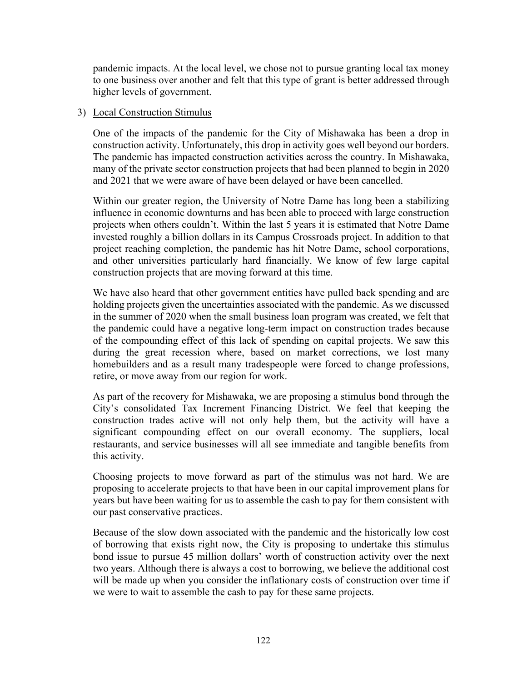pandemic impacts. At the local level, we chose not to pursue granting local tax money to one business over another and felt that this type of grant is better addressed through higher levels of government.

#### 3) Local Construction Stimulus

One of the impacts of the pandemic for the City of Mishawaka has been a drop in construction activity. Unfortunately, this drop in activity goes well beyond our borders. The pandemic has impacted construction activities across the country. In Mishawaka, many of the private sector construction projects that had been planned to begin in 2020 and 2021 that we were aware of have been delayed or have been cancelled.

Within our greater region, the University of Notre Dame has long been a stabilizing influence in economic downturns and has been able to proceed with large construction projects when others couldn't. Within the last 5 years it is estimated that Notre Dame invested roughly a billion dollars in its Campus Crossroads project. In addition to that project reaching completion, the pandemic has hit Notre Dame, school corporations, and other universities particularly hard financially. We know of few large capital construction projects that are moving forward at this time.

We have also heard that other government entities have pulled back spending and are holding projects given the uncertainties associated with the pandemic. As we discussed in the summer of 2020 when the small business loan program was created, we felt that the pandemic could have a negative long-term impact on construction trades because of the compounding effect of this lack of spending on capital projects. We saw this during the great recession where, based on market corrections, we lost many homebuilders and as a result many tradespeople were forced to change professions, retire, or move away from our region for work.

As part of the recovery for Mishawaka, we are proposing a stimulus bond through the City's consolidated Tax Increment Financing District. We feel that keeping the construction trades active will not only help them, but the activity will have a significant compounding effect on our overall economy. The suppliers, local restaurants, and service businesses will all see immediate and tangible benefits from this activity.

Choosing projects to move forward as part of the stimulus was not hard. We are proposing to accelerate projects to that have been in our capital improvement plans for years but have been waiting for us to assemble the cash to pay for them consistent with our past conservative practices.

Because of the slow down associated with the pandemic and the historically low cost of borrowing that exists right now, the City is proposing to undertake this stimulus bond issue to pursue 45 million dollars' worth of construction activity over the next two years. Although there is always a cost to borrowing, we believe the additional cost will be made up when you consider the inflationary costs of construction over time if we were to wait to assemble the cash to pay for these same projects.